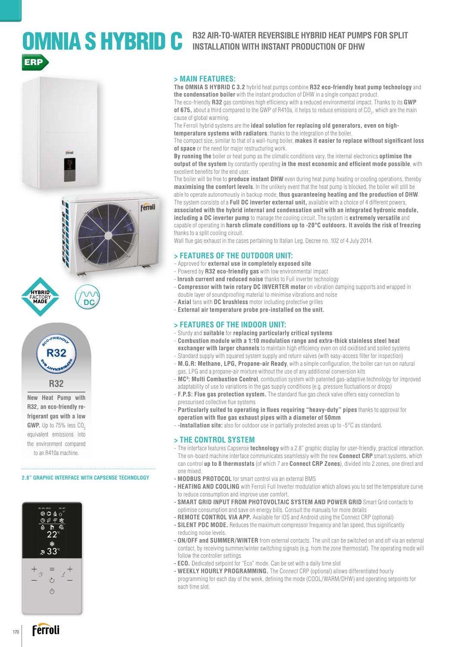## OMNIA SHYBRID C **R32 AIR-TO-WATER REVERSIBLE HYBRID HEAT PUMPS FOR SPLIT** ERP



D<sub>(</sub>





**New Heat Pump with R32, an eco-friendly refrigerant gas with a low GWP.** Up to 75% less CO. equivalent emissions into the environment compared to an R410a machine.

#### **2.8" GRAPHIC INTERFACE WITH CAPSENSE TECHNOLOGY**



#### **> MAIN FEATURES:**

**The OMNIA S HYBRID C 3.2** hybrid heat pumps combine **R32 eco-friendly heat pump technology** and **the condensation boiler** with the instant production of DHW in a single compact product.

The eco-friendly **R32** gas combines high efficiency with a reduced environmental impact. Thanks to its **GWP**   $\,$  of 675, about a third compared to the GWP of R410a, it helps to reduce emissions of CO $_2$ , which are the main cause of global warming.

The Ferroli hybrid systems are the **ideal solution for replacing old generators, even on hightemperature systems with radiators**, thanks to the integration of the boiler.

The compact size, similar to that of a wall-hung boiler, **makes it easier to replace without significant loss of space** or the need for major restructuring work.

**By running the** boiler or heat pump as the climatic conditions vary, the internal electronics **optimise the output of the system** by constantly operating **in the most economic and efficient mode possible**, with excellent benefits for the end user.

The boiler will be free to **produce instant DHW** even during heat pump heating or cooling operations, thereby **maximising the comfort levels**. In the unlikely event that the heat pump is blocked, the boiler will still be able to operate autonomously in backup mode, **thus guaranteeing heating and the production of DHW**. The system consists of a **Full DC inverter external unit,** available with a choice of 4 different powers, **associated with the hybrid internal and condensation unit with an integrated hydronic module, including a DC inverter pump** to manage the cooling circuit. The system is **extremely versatile** and

capable of operating in **harsh climate conditions up to -20°C outdoors. It avoids the risk of freezing** thanks to a split cooling circuit.

Wall flue gas exhaust in the cases pertaining to Italian Leg. Decree no. 102 of 4 July 2014.

#### **> FEATURES OF THE OUTDOOR UNIT:**

- Approved for **external use in completely exposed site**
- Powered by **R32 eco-friendly gas** with low environmental impact
- **Inrush current and reduced noise** thanks to Full inverter technology
- **Compressor with twin rotary DC INVERTER motor** on vibration damping supports and wrapped in double layer of soundproofing material to minimise vibrations and noise
- **Axial** fans with **DC brushless** motor including protective grilles
- **External air temperature probe pre-installed on the unit.**

#### **> FEATURES OF THE INDOOR UNIT:**

- Sturdy and **suitable** for **replacing particularly critical systems**
- **Combustion module with a 1:10 modulation range and extra-thick stainless steel heat exchanger with larger channels** to maintain high efficiency even on old oxidised and soiled systems
- Standard supply with squared system supply and return valves (with easy-access filter for inspection) - **M.G.R: Methane, LPG, Propane-air Ready**, with a simple configuration, the boiler can run on natural
- gas, LPG and a propane-air mixture without the use of any additional conversion kits - **MC2 : Multi Combustion Control**, combustion system with patented gas-adaptive technology for improved
- adaptability of use to variations in the gas supply conditions (e.g. pressure fluctuations or drops) - **F.P.S: Flue gas protection system.** The standard flue gas check valve offers easy connection to
- pressurised collective flue systems
- **Particularly suited to operating in flues requiring "heavy-duty" pipes** thanks to approval for **operation with flue gas exhaust pipes with a diameter of 50mm**
- **-Installation site:** also for outdoor use in partially protected areas up to -5°C as standard.

#### **> THE CONTROL SYSTEM**

- The interface features Capsense **technology** with a 2.8" graphic display for user-friendly, practical interaction. The on-board machine interface communicates seamlessly with the new **Connect CRP** smart systems, which can control **up to 8 thermostats** (of which 7 are **Connect CRP Zones**), divided into 2 zones, one direct and one mixed.
- **MODBUS PROTOCOL** for smart control via an external BMS
- **HEATING AND COOLING** with Ferroli Full Inverter modulation which allows you to set the temperature curve to reduce consumption and improve user comfort.
- **SMART GRID INPUT FROM PHOTOVOLTAIC SYSTEM AND POWER GRID** Smart Grid contacts to optimise consumption and save on energy bills. Consult the manuals for more details
- **REMOTE CONTROL VIA APP.** Available for iOS and Android using the Connect CRP (optional)
- **SILENT PDC MODE.** Reduces the maximum compressor frequency and fan speed, thus significantly reducing noise levels.
- **ON/OFF and SUMMER/WINTER** from external contacts. The unit can be switched on and off via an external contact, by receiving summer/winter switching signals (e.g. from the zone thermostat). The operating mode will follow the controller settings
- **ECO.** Dedicated setpoint for "Eco" mode. Can be set with a daily time slot
- **WEEKLY HOURLY PROGRAMMING.** The Connect CRP (optional) allows differentiated hourly programming for each day of the week, defining the mode (COOL/WARM/DHW) and operating setpoints for each time slot.

170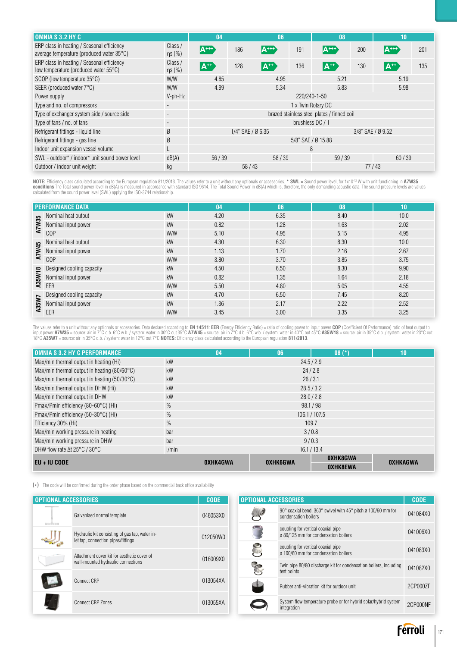| <b>OMNIA S 3.2 HY C</b>                                                                 |                          | 04                                          |     | 06                   |     | 08                            |     | 10                         |     |
|-----------------------------------------------------------------------------------------|--------------------------|---------------------------------------------|-----|----------------------|-----|-------------------------------|-----|----------------------------|-----|
| ERP class in heating / Seasonal efficiency<br>average temperature (produced water 35°C) | Class /<br>ηs (%)        | $A^{\cdots}$                                | 186 | A***                 | 191 | ${\sf A}^{\tiny\textsf{+++}}$ | 200 | $\mathsf{A}^{\texttt{++}}$ | 201 |
| ERP class in heating / Seasonal efficiency<br>low temperature (produced water 55°C)     | Class /<br>$\eta$ s (%)  | $A^{**}$                                    | 128 | $ {\mathsf A}^{**} $ | 136 | $A^{**}$                      | 130 | $ {\mathsf A}^{**} $       | 135 |
| SCOP (low temperature $35^{\circ}$ C)                                                   | W/W                      | 4.85                                        |     | 4.95                 |     | 5.21                          |     | 5.19                       |     |
| SEER (produced water $7^{\circ}$ C)<br>W/W                                              |                          | 4.99                                        |     | 5.34                 |     | 5.83                          |     | 5.98                       |     |
| Power supply                                                                            | V-ph-Hz                  | 220/240-1-50                                |     |                      |     |                               |     |                            |     |
| Type and no. of compressors                                                             |                          | 1 x Twin Rotary DC                          |     |                      |     |                               |     |                            |     |
| Type of exchanger system side / source side                                             | $\overline{\phantom{a}}$ | brazed stainless steel plates / finned coil |     |                      |     |                               |     |                            |     |
| Type of fans / no. of fans                                                              |                          | brushless DC / 1                            |     |                      |     |                               |     |                            |     |
| Refrigerant fittings - liquid line                                                      | Ø                        | 1/4" SAE / Ø 6.35<br>3/8" SAE / Ø 9.52      |     |                      |     |                               |     |                            |     |
| Refrigerant fittings - gas line                                                         | Ø                        | 5/8" SAE / Ø 15.88                          |     |                      |     |                               |     |                            |     |
| Indoor unit expansion vessel volume                                                     |                          | 8                                           |     |                      |     |                               |     |                            |     |
| SWL - outdoor* / indoor* unit sound power level<br>dB(A)                                |                          | 56/39                                       |     | 58/39                |     | 59/39                         |     | 60/39                      |     |
| Outdoor / indoor unit weight                                                            | kg                       | 58/43<br>77/43                              |     |                      |     |                               |     |                            |     |

NOTE: Efficiency class calculated according to the European regulation 811/2013. The values refer to a unit without any optionals or accessories. \* SWL = Sound power level, for 1x10<sup>-12</sup> W with unit functioning in A7W35<br>co

|        | <b>PERFORMANCE DATA</b>                                                  |     | 04   | 06   | 08   | (10  |
|--------|--------------------------------------------------------------------------|-----|------|------|------|------|
|        |                                                                          | kW  | 4.20 | 6.35 | 8.40 | 10.0 |
|        | Nominal heat output<br>Nominal input power<br>COP<br>Nominal input power | kW  | 0.82 | 1.28 | 1.63 | 2.02 |
|        | C <sub>OP</sub>                                                          | W/W | 5.10 | 4.95 | 5.15 | 4.95 |
|        | Nominal heat output                                                      | kW  | 4.30 | 6.30 | 8.30 | 10.0 |
| A7W45  | Nominal input power                                                      | kW  | 1.13 | 1.70 | 2.16 | 2.67 |
|        | C <sub>OP</sub>                                                          | W/W | 3.80 | 3.70 | 3.85 | 3.75 |
| A35W18 | Designed cooling capacity                                                | kW  | 4.50 | 6.50 | 8.30 | 9.90 |
|        | Nominal input power                                                      | kW  | 0.82 | 1.35 | 1.64 | 2.18 |
|        | EER                                                                      | W/W | 5.50 | 4.80 | 5.05 | 4.55 |
|        | Designed cooling capacity                                                | kW  | 4.70 | 6.50 | 7.45 | 8.20 |
| A35W7  | Nominal input power                                                      | kW  | 1.36 | 2.17 | 2.22 | 2.52 |
|        | EER                                                                      | W/W | 3.45 | 3.00 | 3.35 | 3.25 |

The values refer to a unit without any optionals or accessories. Data declared according to **EN 14511: EER** (Energy Efficiency Ratio) = ratio of cooling power to input power **CDP** (Coefficient Of Performance) ratio of heat

| <b>OMNIA S 3.2 HY C PERFORMANCE</b>                  |       | 04              | 06              | $08(*)$         | 10       |  |  |
|------------------------------------------------------|-------|-----------------|-----------------|-----------------|----------|--|--|
| Max/min thermal output in heating (Hi)               | kW    | 24.5/2.9        |                 |                 |          |  |  |
| Max/min thermal output in heating $(80/60^{\circ}C)$ | kW    |                 | 24/2.8          |                 |          |  |  |
| Max/min thermal output in heating $(50/30^{\circ}C)$ | kW    |                 | 26/3.1          |                 |          |  |  |
| Max/min thermal output in DHW (Hi)                   | kW    |                 |                 | 28.5 / 3.2      |          |  |  |
| Max/min thermal output in DHW                        | kW    |                 | 28.0 / 2.8      |                 |          |  |  |
| Pmax/Pmin efficiency (80-60°C) (Hi)                  | $\%$  | 98.1/98         |                 |                 |          |  |  |
| Pmax/Pmin efficiency (50-30°C) (Hi)                  | $\%$  | 106.1 / 107.5   |                 |                 |          |  |  |
| Efficiency 30% (Hi)                                  | $\%$  | 109.7           |                 |                 |          |  |  |
| Max/min working pressure in heating                  | bar   | 3/0.8           |                 |                 |          |  |  |
| Max/min working pressure in DHW                      | bar   | 9/0.3           |                 |                 |          |  |  |
| DHW flow rate $\Delta t$ 25°C / 30°C                 | 1/min |                 |                 | 16.1 / 13.4     |          |  |  |
| $EU + IU$ CODE                                       |       | <b>OXHK4GWA</b> | <b>OXHK6GWA</b> | <b>OXHK8GWA</b> | OXHKAGWA |  |  |
|                                                      |       |                 |                 | <b>OXHK8EWA</b> |          |  |  |

**(\*)** The code will be confirmed during the order phase based on the commercial back office availability

| <b>OPTIONAL ACCESSORIES</b> |                                                                                      | <b>CODE</b> | <b>OPTIONAL ACCESSORIES</b> |                                                                                                                    |          |
|-----------------------------|--------------------------------------------------------------------------------------|-------------|-----------------------------|--------------------------------------------------------------------------------------------------------------------|----------|
|                             | Galvanised normal template                                                           | 046053X0    |                             | 90 $^{\circ}$ coaxial bend, 360 $^{\circ}$ swivel with 45 $^{\circ}$ pitch ø 100/60 mm for<br>condensation boilers | 041084X0 |
| <b>BOOTHERS</b>             | Hydraulic kit consisting of gas tap, water in-<br>let tap, connection pipes/fittings | 012050W0    |                             | coupling for vertical coaxial pipe<br>ø 80/125 mm for condensation boilers                                         | 041006X0 |
|                             | Attachment cover kit for aesthetic cover of                                          |             |                             | coupling for vertical coaxial pipe<br>ø 100/60 mm for condensation boilers                                         | 041083X0 |
|                             | wall-mounted hydraulic connections                                                   | 016009X0    | <b>R</b>                    | Twin pipe 80/80 discharge kit for condensation boilers, including<br>test points                                   | 041082X0 |
|                             | Connect CRP                                                                          | 013054XA    |                             |                                                                                                                    |          |
|                             |                                                                                      |             |                             | Rubber anti-vibration kit for outdoor unit                                                                         | 2CP000ZF |
|                             | Connect CRP Zones                                                                    | 013055XA    |                             | System flow temperature probe or for hybrid solar/hybrid system<br>integration                                     | 2CP000NF |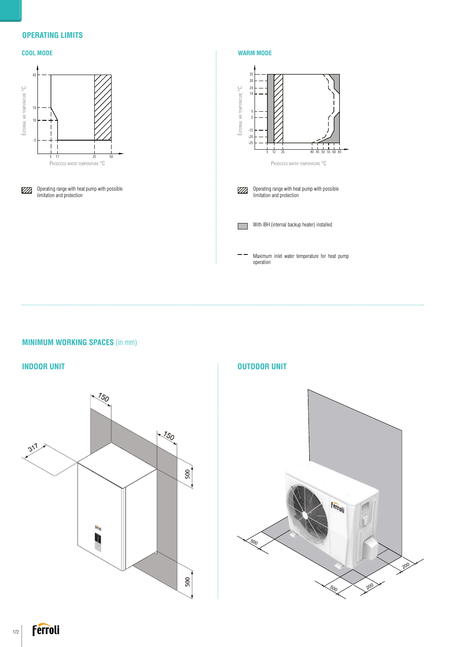### **OPERATING LIMITS**



## **MINIMUM WORKING SPACES** (in mm)



# Ferroli 500 200 200 500